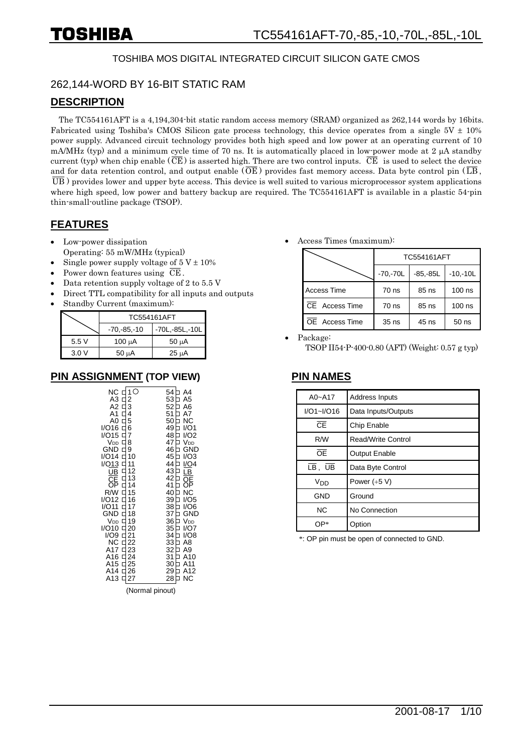#### TOSHIBA MOS DIGITAL INTEGRATED CIRCUIT SILICON GATE CMOS

#### 262,144-WORD BY 16-BIT STATIC RAM

#### **DESCRIPTION**

The TC554161AFT is a 4,194,304-bit static random access memory (SRAM) organized as 262,144 words by 16bits. Fabricated using Toshiba's CMOS Silicon gate process technology, this device operates from a single  $5V \pm 10\%$ power supply. Advanced circuit technology provides both high speed and low power at an operating current of 10 mA/MHz (typ) and a minimum cycle time of 70 ns. It is automatically placed in low-power mode at 2  $\mu$ A standby current (typ) when chip enable ( $\overline{CE}$ ) is asserted high. There are two control inputs.  $\overline{CE}$  is used to select the device and for data retention control, and output enable  $(\overline{OE})$  provides fast memory access. Data byte control pin  $(\overline{LB},$  $\overline{UB}$ ) provides lower and upper byte access. This device is well suited to various microprocessor system applications where high speed, low power and battery backup are required. The TC554161AFT is available in a plastic 54-pin thin-small-outline package (TSOP).

#### **FEATURES**

- Low-power dissipation Operating: 55 mW/MHz (typical)
- Single power supply voltage of  $5 V \pm 10\%$
- Power down features using  $\overline{\text{CE}}$ .
- Data retention supply voltage of 2 to 5.5 V
- Direct TTL compatibility for all inputs and outputs
- Standby Current (maximum):

|      | TC554161AFT     |                    |
|------|-----------------|--------------------|
|      | $-70, -85, -10$ | $-70L, -85L, -10L$ |
| 5.5V | 100 μΑ          | $50 \mu A$         |
| 3.0V | $50 \mu A$      | $25 \mu A$         |

#### **PIN ASSIGNMENT (TOP VIEW) PIN NAMES**

(Normal pinout)

Access Times (maximum):

|                    | <b>TC554161AFT</b> |             |            |  |  |  |
|--------------------|--------------------|-------------|------------|--|--|--|
|                    | $-70, -70L$        | $-85, -85L$ | $-10,-10L$ |  |  |  |
| <b>Access Time</b> | $70$ ns            | 85 ns       | $100$ ns   |  |  |  |
| CE Access Time     | $70$ ns            | 85 ns       | $100$ ns   |  |  |  |
| OE Access Time     | $35$ ns            | 45 ns       | $50$ ns    |  |  |  |

Package:

TSOP II54-P-400-0.80 (AFT) (Weight: 0.57 g typ)

| $A0 - A17$                                          | Address Inputs       |
|-----------------------------------------------------|----------------------|
| $I/O1 - I/O16$                                      | Data Inputs/Outputs  |
| <b>CF</b>                                           | Chip Enable          |
| R/W                                                 | Read/Write Control   |
| ŌF                                                  | <b>Output Enable</b> |
| $\overline{\mathsf{LB}}$ , $\overline{\mathsf{UB}}$ | Data Byte Control    |
| Vnn                                                 | Power $(+5 V)$       |
| GND                                                 | Ground               |
| <b>NC</b>                                           | No Connection        |
| ()P*                                                | Option               |

\*: OP pin must be open of connected to GND.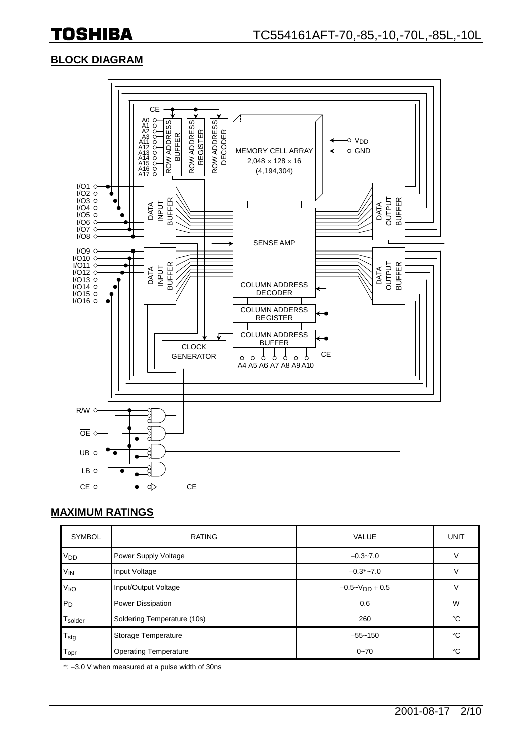#### **BLOCK DIAGRAM**



#### **MAXIMUM RATINGS**

| <b>SYMBOL</b>     | <b>RATING</b>                | <b>VALUE</b>          | <b>UNIT</b> |
|-------------------|------------------------------|-----------------------|-------------|
| V <sub>DD</sub>   | Power Supply Voltage         | $-0.3 - 7.0$          | ν           |
| $V_{IN}$          | Input Voltage                | $-0.3*-7.0$           |             |
| V <sub>1</sub> /O | Input/Output Voltage         | $-0.5 - V_{DD} + 0.5$ | ν           |
| $P_D$             | Power Dissipation            | 0.6                   | W           |
| Tsolder           | Soldering Temperature (10s)  | 260                   | °C          |
| $T_{\text{stg}}$  | Storage Temperature          | $-55 - 150$           | °C          |
| l opr             | <b>Operating Temperature</b> | $0 - 70$              | °C          |

\*: 3.0 V when measured at a pulse width of 30ns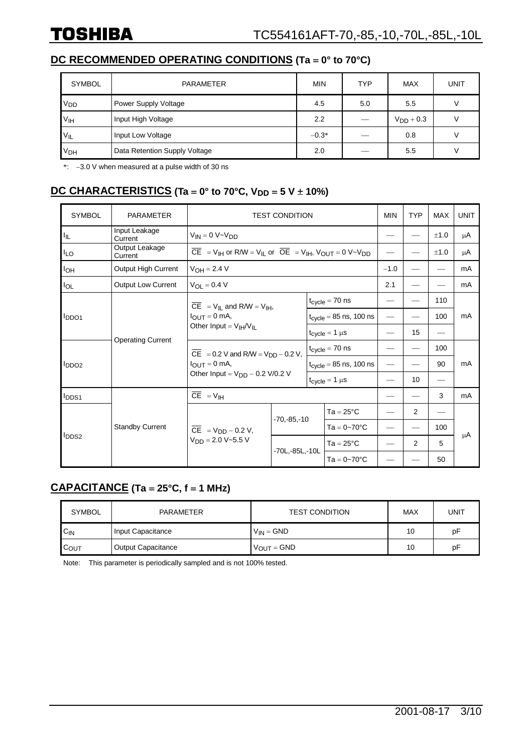### **DC RECOMMENDED OPERATING CONDITIONS (Ta = 0° to 70°C)**

| <b>SYMBOL</b>         | <b>PARAMETER</b>              | <b>MIN</b> | <b>TYP</b> | <b>MAX</b>     | <b>UNIT</b> |
|-----------------------|-------------------------------|------------|------------|----------------|-------------|
| V <sub>DD</sub>       | Power Supply Voltage          | 4.5        | 5.0        | 5.5            |             |
| V <sub>IH</sub>       | Input High Voltage            | 2.2        |            | $V_{DD}$ + 0.3 |             |
| $V_{IL}$              | Input Low Voltage             | $-0.3*$    |            | 0.8            |             |
| <b>V<sub>DH</sub></b> | Data Retention Supply Voltage | 2.0        |            | 5.5            |             |

 $\dot{\text{F}}$ : -3.0 V when measured at a pulse width of 30 ns

#### **DC CHARACTERISTICS** (Ta = 0° to 70°C, V<sub>DD</sub> = 5 V ± 10%)

| <b>SYMBOL</b>         | <b>PARAMETER</b>          | <b>TEST CONDITION</b>                                                                                                                    |                                                            |                                    |                                                        |        | <b>TYP</b>     | <b>MAX</b> | <b>UNIT</b> |
|-----------------------|---------------------------|------------------------------------------------------------------------------------------------------------------------------------------|------------------------------------------------------------|------------------------------------|--------------------------------------------------------|--------|----------------|------------|-------------|
| Iщ.                   | Input Leakage<br>Current  | $V_{IN} = 0 V - V_{DD}$                                                                                                                  |                                                            |                                    |                                                        |        |                | ±1.0       | μA          |
| $I_{LO}$              | Output Leakage<br>Current | $\overline{CE}$ = V <sub>IH</sub> or R/W = V <sub>IL</sub> or $\overline{OE}$ = V <sub>IH</sub> , V <sub>OUT</sub> = 0 V~V <sub>DD</sub> |                                                            |                                    |                                                        |        |                | ±1.0       | μA          |
| <b>I<sub>OH</sub></b> | Output High Current       | $V_{OH} = 2.4 V$                                                                                                                         |                                                            |                                    |                                                        | $-1.0$ |                |            | mA          |
| $I_{OL}$              | <b>Output Low Current</b> | $V_{\Omega I} = 0.4 V$                                                                                                                   |                                                            |                                    |                                                        | 2.1    |                |            | mA          |
|                       |                           | $CE = V_{IL}$ and R/W = V <sub>IH</sub> ,                                                                                                |                                                            |                                    | $t_{\text{cyclic}} = 70$ ns                            |        |                | 110        |             |
| <b>IDDO1</b>          |                           | $I_{\text{OUT}} = 0$ mA,<br>Other Input = $V_{\text{IH}}/V_{\text{II}}$                                                                  |                                                            |                                    | $t_{cycle} = 85$ ns, 100 ns                            |        |                | 100        | mA          |
|                       |                           |                                                                                                                                          |                                                            |                                    | $t_{\text{c} \text{v} \text{c} \text{le}} = 1 \ \mu s$ |        | 15             |            |             |
|                       | <b>Operating Current</b>  |                                                                                                                                          | $\overline{CE}$ = 0.2 V and R/W = V <sub>DD</sub> – 0.2 V, |                                    | $t_{cycle} = 70$ ns                                    |        |                | 100        |             |
| l <sub>DDO2</sub>     |                           | $I_{\text{OUT}} = 0$ mA,<br>Other Input = $V_{DD}$ – 0.2 V/0.2 V                                                                         |                                                            | $t_{\text{cycle}} = 85$ ns, 100 ns |                                                        |        |                | 90         | mA          |
|                       |                           |                                                                                                                                          |                                                            |                                    | $t_{cycle} = 1 \mu s$                                  |        | 10             |            |             |
| <b>I</b> DDS1         |                           | $\overline{CE}$ = $V_{IH}$                                                                                                               |                                                            |                                    |                                                        |        |                | 3          | mA          |
|                       |                           |                                                                                                                                          |                                                            |                                    | $Ta = 25^{\circ}C$                                     |        | $\overline{2}$ |            |             |
| <b>IDDS2</b>          | <b>Standby Current</b>    | $\overline{CE}$ = V <sub>DD</sub> – 0.2 V,<br>$V_{DD} = 2.0 V - 5.5 V$                                                                   | $-70, -85, -10$                                            |                                    | $Ta = 0 - 70^{\circ}C$                                 |        |                | 100        |             |
|                       |                           |                                                                                                                                          |                                                            |                                    | $Ta = 25^{\circ}C$                                     |        | 2              | 5          | μA          |
|                       |                           |                                                                                                                                          | $-70L - 85L - 10L$                                         |                                    | $Ta = 0 - 70^{\circ}C$                                 |        |                | 50         |             |

#### **CAPACITANCE (Ta 25°C, f 1 MHz)**

| <b>SYMBOL</b>    | PARAMETER                 | <b>TEST CONDITION</b> | MAX | UNIT |
|------------------|---------------------------|-----------------------|-----|------|
| $C_{IN}$         | Input Capacitance         | $V_{IN} = GND$        | 10  | pF   |
| $C_{\text{OUT}}$ | <b>Output Capacitance</b> | $V_{OUT} = GND$       | 10  | рF   |

Note: This parameter is periodically sampled and is not 100% tested.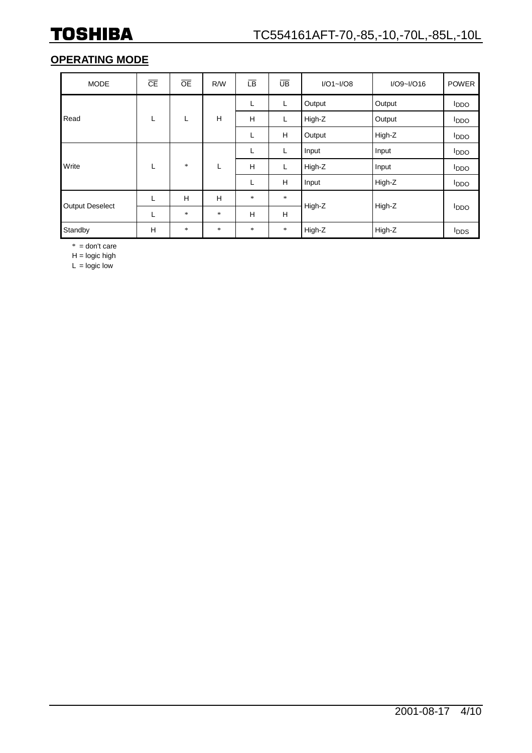### **OPERATING MODE**

| <b>MODE</b>            | $\overline{CE}$ | <b>OE</b> | R/W    | <b>LB</b> | UB     | $I/O1 - I/O8$ | $I/O9$ ~ $I/O16$ | <b>POWER</b>            |
|------------------------|-----------------|-----------|--------|-----------|--------|---------------|------------------|-------------------------|
|                        |                 |           |        | ┗         | L      | Output        | Output           | <b>I</b> <sub>DDO</sub> |
| Read                   | L               | L         | H      | H         | L      | High-Z        | Output           | <b>I</b> <sub>DDO</sub> |
|                        |                 |           |        | ┗         | H      | Output        | High-Z           | <b>I</b> <sub>DDO</sub> |
|                        |                 |           |        | ┗         | L      | Input         | Input            | <b>I</b> DDO            |
| Write                  | L               | $\ast$    | L      | H         | L      | High-Z        | Input            | <b>I</b> <sub>DDO</sub> |
|                        |                 |           |        | L         | H      | Input         | High-Z           | <b>I</b> <sub>DDO</sub> |
|                        | L               | Н         | H      | $\ast$    | $\ast$ |               |                  |                         |
| <b>Output Deselect</b> | L               | $\ast$    | $\ast$ | Н         | H      | High-Z        | High-Z           | <b>I</b> <sub>DDO</sub> |
| Standby                | H               | $\ast$    | $\ast$ | $\ast$    | $\ast$ | High-Z        | High-Z           | <b>I</b> <sub>DDS</sub> |

 $* =$  don't care

 $H =$  logic high

 $L =$  logic low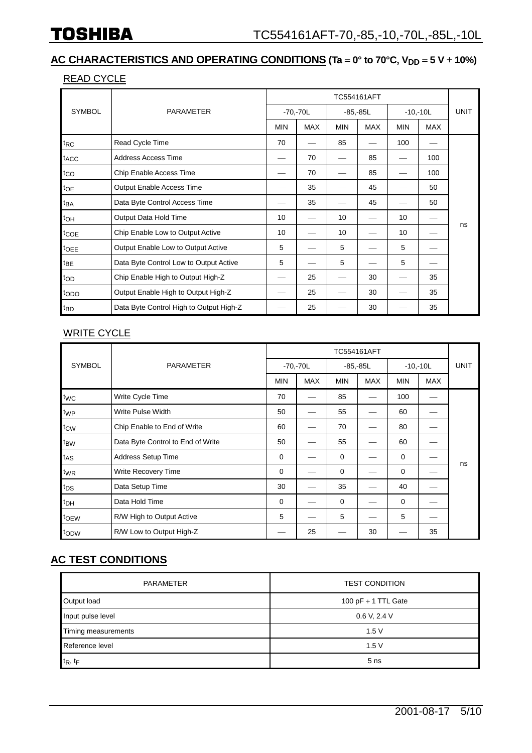#### **AC CHARACTERISTICS AND OPERATING CONDITIONS** (Ta = 0° to 70°C, V<sub>DD</sub> = 5 V ± 10%)

#### READ CYCLE

|                  |                                         | TC554161AFT     |            |             |            |            |            |             |
|------------------|-----------------------------------------|-----------------|------------|-------------|------------|------------|------------|-------------|
| <b>SYMBOL</b>    | <b>PARAMETER</b>                        | $-70, -70L$     |            | $-85, -85L$ |            | $-10,-10L$ |            | <b>UNIT</b> |
|                  |                                         | <b>MIN</b>      | <b>MAX</b> | <b>MIN</b>  | <b>MAX</b> | <b>MIN</b> | <b>MAX</b> |             |
| t <sub>RC</sub>  | Read Cycle Time                         | 70              |            | 85          |            | 100        |            |             |
| t <sub>ACC</sub> | <b>Address Access Time</b>              |                 | 70         |             | 85         |            | 100        |             |
| $t_{CO}$         | Chip Enable Access Time                 |                 | 70         |             | 85         |            | 100        |             |
| toe              | Output Enable Access Time               |                 | 35         |             | 45         |            | 50         |             |
| t <sub>BA</sub>  | Data Byte Control Access Time           |                 | 35         |             | 45         |            | 50         |             |
| t <sub>OH</sub>  | Output Data Hold Time                   | 10 <sup>°</sup> |            | 10          |            | 10         |            | ns          |
| tcoe             | Chip Enable Low to Output Active        | 10              |            | 10          |            | 10         |            |             |
| tOEE             | Output Enable Low to Output Active      | 5               |            | 5           |            | 5          |            |             |
| t <sub>BE</sub>  | Data Byte Control Low to Output Active  | 5               |            | 5           |            | 5          |            |             |
| top              | Chip Enable High to Output High-Z       |                 | 25         |             | 30         |            | 35         |             |
| topo             | Output Enable High to Output High-Z     |                 | 25         |             | 30         |            | 35         |             |
| t <sub>BD</sub>  | Data Byte Control High to Output High-Z |                 | 25         |             | 30         |            | 35         |             |

#### **WRITE CYCLE**

|                 |                                   | <b>TC554161AFT</b> |            |             |            |            |            |             |  |
|-----------------|-----------------------------------|--------------------|------------|-------------|------------|------------|------------|-------------|--|
| <b>SYMBOL</b>   | <b>PARAMETER</b>                  | $-70, -70L$        |            | $-85, -85L$ |            | $-10,-10L$ |            | <b>UNIT</b> |  |
|                 |                                   | <b>MIN</b>         | <b>MAX</b> | <b>MIN</b>  | <b>MAX</b> | <b>MIN</b> | <b>MAX</b> |             |  |
| twc             | Write Cycle Time                  | 70                 |            | 85          |            | 100        |            |             |  |
| twp             | Write Pulse Width                 | 50                 |            | 55          |            | 60         |            |             |  |
| t <sub>CW</sub> | Chip Enable to End of Write       | 60                 |            | 70          |            | 80         |            |             |  |
| t <sub>BW</sub> | Data Byte Control to End of Write | 50                 |            | 55          |            | 60         |            |             |  |
| $t_{AS}$        | Address Setup Time                | $\mathbf 0$        |            | 0           |            | 0          |            |             |  |
| twR             | Write Recovery Time               | 0                  |            | 0           |            | 0          |            | ns          |  |
| $t_{DS}$        | Data Setup Time                   | 30                 |            | 35          |            | 40         |            |             |  |
| t <sub>DH</sub> | Data Hold Time                    | $\mathbf 0$        |            | 0           |            | $\Omega$   |            |             |  |
| toew            | R/W High to Output Active         | 5                  |            | 5           |            | 5          |            |             |  |
| topw            | R/W Low to Output High-Z          |                    | 25         |             | 30         |            | 35         |             |  |

#### **AC TEST CONDITIONS**

| <b>PARAMETER</b>    | <b>TEST CONDITION</b> |  |  |  |
|---------------------|-----------------------|--|--|--|
| Output load         | 100 pF $+$ 1 TTL Gate |  |  |  |
| Input pulse level   | 0.6 V, 2.4 V          |  |  |  |
| Timing measurements | 1.5V                  |  |  |  |
| Reference level     | 1.5V                  |  |  |  |
| $t_R$ , $t_F$       | 5 <sub>ns</sub>       |  |  |  |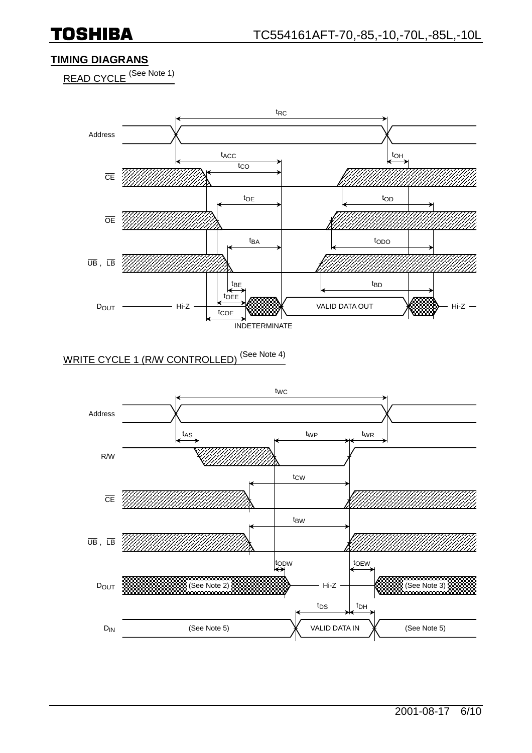**TOSHIBA** 

#### **TIMING DIAGRANS**

READ CYCLE<sup>(See Note 1)</sup>



# WRITE CYCLE 1 (R/W CONTROLLED)<sup>(See Note 4)</sup>

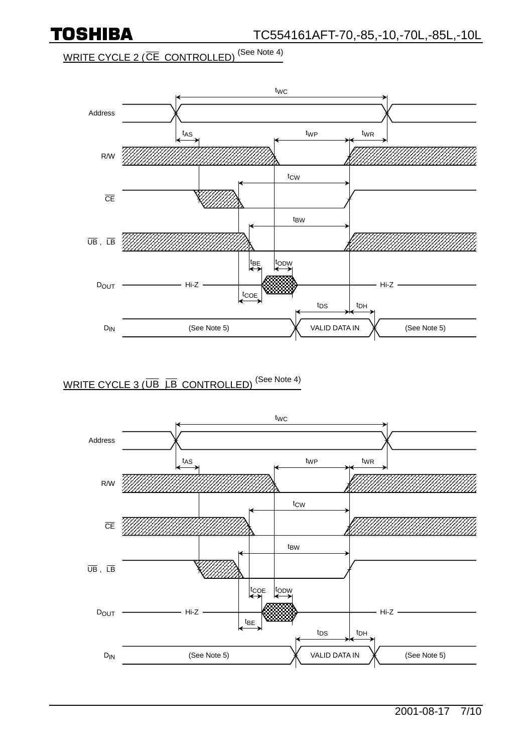

WRITE CYCLE 2 ( $\overline{\text{CE}}$  CONTROLLED)<sup>(See Note 4)</sup>



### WRITE CYCLE 3 ( $\overline{\mathsf{UB}}$   $\overline{\mathsf{LB}}$  CONTROLLED)<sup>(See Note 4)</sup>

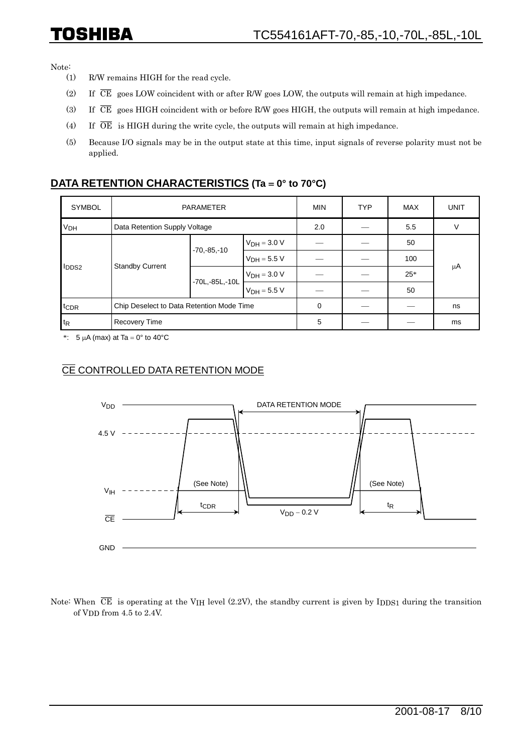## TOSHIBA

Note:

- (1) R/W remains HIGH for the read cycle.
- (2) If  $\overline{CE}$  goes LOW coincident with or after R/W goes LOW, the outputs will remain at high impedance.
- (3) If  $\overline{CE}$  goes HIGH coincident with or before R/W goes HIGH, the outputs will remain at high impedance.
- (4) If  $\overline{OE}$  is HIGH during the write cycle, the outputs will remain at high impedance.
- (5) Because I/O signals may be in the output state at this time, input signals of reverse polarity must not be applied.

#### **DATA RETENTION CHARACTERISTICS (Ta = 0° to 70°C)**

| <b>SYMBOL</b>    | <b>PARAMETER</b>                          |                    |                  | <b>MIN</b> | <b>TYP</b> | <b>MAX</b> | <b>UNIT</b> |
|------------------|-------------------------------------------|--------------------|------------------|------------|------------|------------|-------------|
| V <sub>DH</sub>  | Data Retention Supply Voltage             |                    |                  | 2.0        |            | 5.5        | V           |
| <b>I</b> DDS2    | <b>Standby Current</b>                    | $-70, -85, -10$    | $V_{DH} = 3.0 V$ |            |            | 50         | μA          |
|                  |                                           |                    | $V_{DH} = 5.5 V$ |            |            | 100        |             |
|                  |                                           | $-70L, -85L, -10L$ | $VDH = 3.0 V$    |            |            | $25*$      |             |
|                  |                                           |                    | $V_{DH} = 5.5 V$ |            |            | 50         |             |
| tc <sub>DR</sub> | Chip Deselect to Data Retention Mode Time |                    |                  | 0          |            |            | ns          |
| $t_{R}$          | <b>Recovery Time</b>                      |                    |                  | 5          |            |            | ms          |

\*:  $5 \mu A$  (max) at Ta = 0° to 40°C

#### CE CONTROLLED DATA RETENTION MODE



Note: When  $\overline{CE}$  is operating at the V<sub>IH</sub> level (2.2V), the standby current is given by I<sub>DDS1</sub> during the transition of VDD from 4.5 to 2.4V.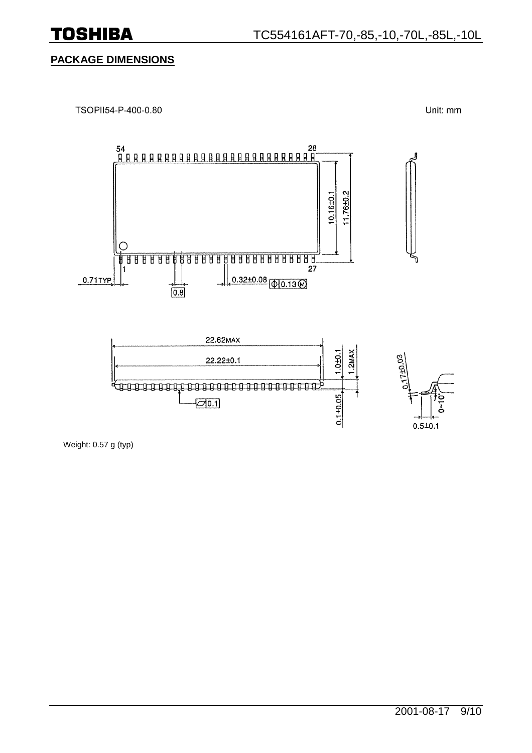#### **PACKAGE DIMENSIONS**



Unit: mm



Weight: 0.57 g (typ)